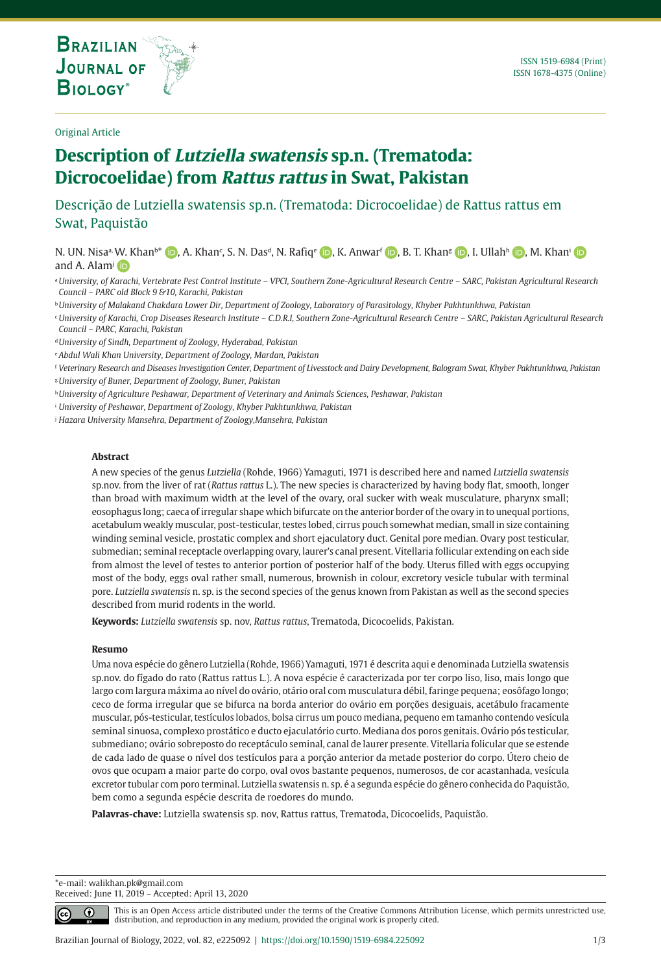**THE INTERNATIONAL JOURNAL ON GLOBAL BIODIVERSITY AND ENVIRONMENT**

#### Original Article

# **Description of Lutziella swatensis sp.n. (Trematoda: Dicrocoelidae) from Rattus rattus in Swat, Pakistan**

Descrição de Lutziella swatensis sp.n. (Trematoda: Dicrocoelidae) de Rattus rattus em Swat, Paquistão

N. UN. Nisa<sup>a,</sup> [W. K](https://orcid.org/0000-0003-4145-0000)han<sup>b\*</sup> (D[,](https://orcid.org/0000-0003-4372-8643) A. Khan<sup>c</sup>[,](https://orcid.org/0000-0002-3657-1556) S. N. Das<sup>a</sup>, N. Rafiq<sup>e</sup> (D, K. Anwarf (D, B. T. Khang (D, I. Ullahh (D), M. Khani and A. Alam<sup>j</sup> i<sub>D</sub>

<sup>a</sup>*University, of Karachi, Vertebrate Pest Control Institute – VPCI, Southern Zone-Agricultural Research Centre – SARC, Pakistan Agricultural Research Council – PARC old Block 9 &10, Karachi, Pakistan* 

<sup>b</sup>*University of Malakand Chakdara Lower Dir, Department of Zoology, Laboratory of Parasitology, Khyber Pakhtunkhwa, Pakistan* 

<sup>c</sup>*University of Karachi, Crop Diseases Research Institute – C.D.R.I, Southern Zone-Agricultural Research Centre – SARC, Pakistan Agricultural Research Council – PARC, Karachi, Pakistan*

<sup>d</sup>*University of Sindh, Department of Zoology, Hyderabad, Pakistan*

<sup>e</sup>*Abdul Wali Khan University, Department of Zoology, Mardan, Pakistan*

<sup>f</sup> *Veterinary Research and Diseases Investigation Center, Department of Livesstock and Dairy Development, Balogram Swat, Khyber Pakhtunkhwa, Pakistan*

<sup>g</sup>*University of Buner, Department of Zoology, Buner, Pakistan*

<sup>h</sup>*University of Agriculture Peshawar, Department of Veterinary and Animals Sciences, Peshawar, Pakistan* 

<sup>i</sup> *University of Peshawar, Department of Zoology, Khyber Pakhtunkhwa, Pakistan*

<sup>j</sup> *Hazara University Mansehra, Department of Zoology,Mansehra, Pakistan* 

#### **Abstract**

A new species of the genus *Lutziella* (Rohde, 1966) Yamaguti, 1971 is described here and named *Lutziella swatensis* sp.nov. from the liver of rat (*Rattus rattus* L.). The new species is characterized by having body flat, smooth, longer than broad with maximum width at the level of the ovary, oral sucker with weak musculature, pharynx small; eosophagus long; caeca of irregular shape which bifurcate on the anterior border of the ovary in to unequal portions, acetabulum weakly muscular, post-testicular, testes lobed, cirrus pouch somewhat median, small in size containing winding seminal vesicle, prostatic complex and short ejaculatory duct. Genital pore median. Ovary post testicular, submedian; seminal receptacle overlapping ovary, laurer's canal present. Vitellaria follicular extending on each side from almost the level of testes to anterior portion of posterior half of the body. Uterus filled with eggs occupying most of the body, eggs oval rather small, numerous, brownish in colour, excretory vesicle tubular with terminal pore. *Lutziella swatensis* n. sp. is the second species of the genus known from Pakistan as well as the second species described from murid rodents in the world.

**Keywords:** *Lutziella swatensis* sp. nov, *Rattus rattus*, Trematoda, Dicocoelids, Pakistan.

## **Resumo**

Uma nova espécie do gênero Lutziella (Rohde, 1966) Yamaguti, 1971 é descrita aqui e denominada Lutziella swatensis sp.nov. do fígado do rato (Rattus rattus L.). A nova espécie é caracterizada por ter corpo liso, liso, mais longo que largo com largura máxima ao nível do ovário, otário oral com musculatura débil, faringe pequena; eosôfago longo; ceco de forma irregular que se bifurca na borda anterior do ovário em porções desiguais, acetábulo fracamente muscular, pós-testicular, testículos lobados, bolsa cirrus um pouco mediana, pequeno em tamanho contendo vesícula seminal sinuosa, complexo prostático e ducto ejaculatório curto. Mediana dos poros genitais. Ovário pós testicular, submediano; ovário sobreposto do receptáculo seminal, canal de laurer presente. Vitellaria folicular que se estende de cada lado de quase o nível dos testículos para a porção anterior da metade posterior do corpo. Útero cheio de ovos que ocupam a maior parte do corpo, oval ovos bastante pequenos, numerosos, de cor acastanhada, vesícula excretor tubular com poro terminal. Lutziella swatensis n. sp. é a segunda espécie do gênero conhecida do Paquistão, bem como a segunda espécie descrita de roedores do mundo.

**Palavras-chave:** Lutziella swatensis sp. nov, Rattus rattus, Trematoda, Dicocoelids, Paquistão.

\*e-mail: walikhan.pk@gmail.com Received: June 11, 2019 – Accepted: April 13, 2020

 $\bigcirc$ 

This is an Open Access article distributed under the terms of the Creative Commons Attribution License, which permits unrestricted use, distribution, and reproduction in any medium, provided the original work is properly cited.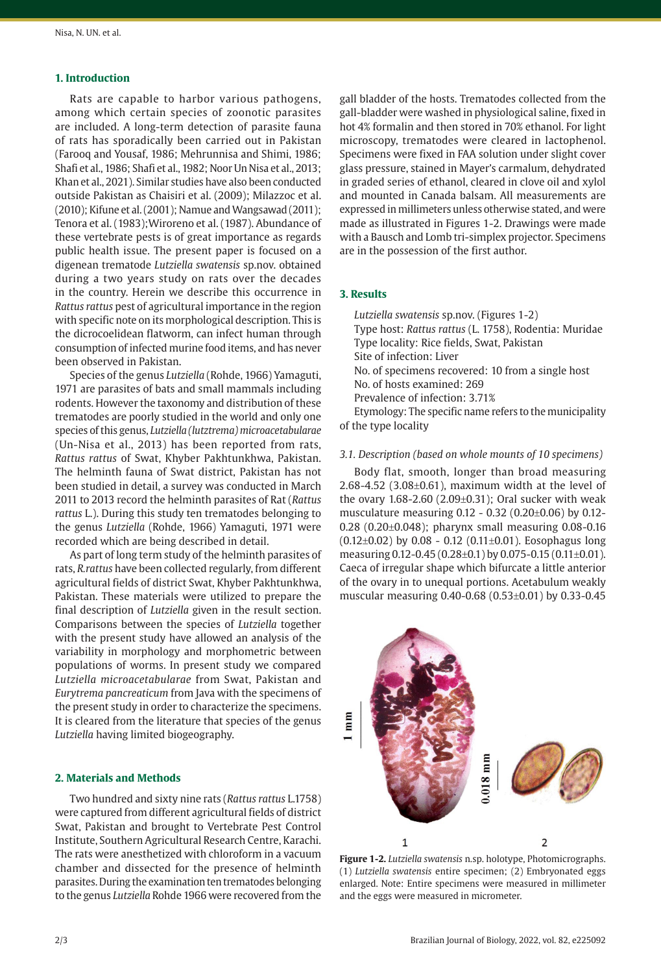# **1. Introduction**

Rats are capable to harbor various pathogens, among which certain species of zoonotic parasites are included. A long-term detection of parasite fauna of rats has sporadically been carried out in Pakistan (Farooq and Yousaf, 1986; Mehrunnisa and Shimi, 1986; Shafi et al., 1986; Shafi et al., 1982; Noor Un Nisa et al., 2013; Khan et al., 2021). Similar studies have also been conducted outside Pakistan as Chaisiri et al. (2009); Milazzoc et al. (2010); Kifune et al. (2001); Namue and Wangsawad (2011); Tenora et al. (1983);Wiroreno et al. (1987). Abundance of these vertebrate pests is of great importance as regards public health issue. The present paper is focused on a digenean trematode *Lutziella swatensis* sp.nov. obtained during a two years study on rats over the decades in the country. Herein we describe this occurrence in *Rattus rattus* pest of agricultural importance in the region with specific note on its morphological description. This is the dicrocoelidean flatworm, can infect human through consumption of infected murine food items, and has never been observed in Pakistan.

Species of the genus *Lutziella* (Rohde, 1966) Yamaguti, 1971 are parasites of bats and small mammals including rodents. However the taxonomy and distribution of these trematodes are poorly studied in the world and only one species of this genus, *Lutziella (lutztrema) microacetabularae* (Un-Nisa et al., 2013) has been reported from rats, *Rattus rattus* of Swat, Khyber Pakhtunkhwa, Pakistan. The helminth fauna of Swat district, Pakistan has not been studied in detail, a survey was conducted in March 2011 to 2013 record the helminth parasites of Rat (*Rattus rattus* L.). During this study ten trematodes belonging to the genus *Lutziella* (Rohde, 1966) Yamaguti, 1971 were recorded which are being described in detail.

As part of long term study of the helminth parasites of rats, *R.rattus* have been collected regularly, from different agricultural fields of district Swat, Khyber Pakhtunkhwa, Pakistan. These materials were utilized to prepare the final description of *Lutziella* given in the result section. Comparisons between the species of *Lutziella* together with the present study have allowed an analysis of the variability in morphology and morphometric between populations of worms. In present study we compared *Lutziella microacetabularae* from Swat, Pakistan and *Eurytrema pancreaticum* from Java with the specimens of the present study in order to characterize the specimens. It is cleared from the literature that species of the genus *Lutziella* having limited biogeography.

# **2. Materials and Methods**

Two hundred and sixty nine rats (*Rattus rattus* L.1758) were captured from different agricultural fields of district Swat, Pakistan and brought to Vertebrate Pest Control Institute, Southern Agricultural Research Centre, Karachi. The rats were anesthetized with chloroform in a vacuum chamber and dissected for the presence of helminth parasites. During the examination ten trematodes belonging to the genus *Lutziella* Rohde 1966 were recovered from the

gall bladder of the hosts. Trematodes collected from the gall-bladder were washed in physiological saline, fixed in hot 4% formalin and then stored in 70% ethanol. For light microscopy, trematodes were cleared in lactophenol. Specimens were fixed in FAA solution under slight cover glass pressure, stained in Mayer's carmalum, dehydrated in graded series of ethanol, cleared in clove oil and xylol and mounted in Canada balsam. All measurements are expressed in millimeters unless otherwise stated, and were made as illustrated in Figures 1-2. Drawings were made with a Bausch and Lomb tri-simplex projector. Specimens are in the possession of the first author.

#### **3. Results**

*Lutziella swatensis* sp.nov. (Figures 1-2) Type host: *Rattus rattus* (L. 1758), Rodentia: Muridae Type locality: Rice fields, Swat, Pakistan Site of infection: Liver No. of specimens recovered: 10 from a single host No. of hosts examined: 269 Prevalence of infection: 3.71%

Etymology: The specific name refers to the municipality of the type locality

## *3.1. Description (based on whole mounts of 10 specimens)*

Body flat, smooth, longer than broad measuring 2.68-4.52 (3.08±0.61), maximum width at the level of the ovary  $1.68 - 2.60$  ( $2.09 \pm 0.31$ ); Oral sucker with weak musculature measuring 0.12 - 0.32 (0.20±0.06) by 0.12- 0.28 (0.20±0.048); pharynx small measuring 0.08-0.16  $(0.12\pm0.02)$  by 0.08 - 0.12  $(0.11\pm0.01)$ . Eosophagus long measuring 0.12-0.45 (0.28±0.1) by 0.075-0.15 (0.11±0.01). Caeca of irregular shape which bifurcate a little anterior of the ovary in to unequal portions. Acetabulum weakly muscular measuring 0.40-0.68 (0.53±0.01) by 0.33-0.45



**Figure 1-2.** *Lutziella swatensis* n.sp. holotype, Photomicrographs. (1) *Lutziella swatensis* entire specimen; (2) Embryonated eggs enlarged. Note: Entire specimens were measured in millimeter and the eggs were measured in micrometer.